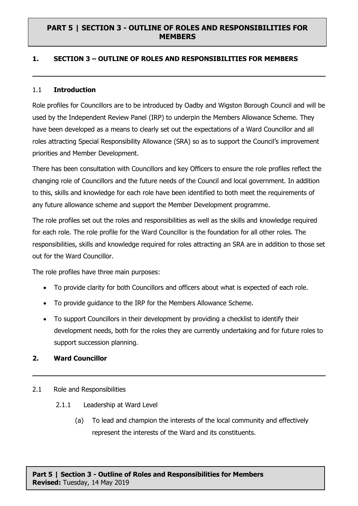#### **1. SECTION 3 – OUTLINE OF ROLES AND RESPONSIBILITIES FOR MEMBERS**

#### 1.1 **Introduction**

Role profiles for Councillors are to be introduced by Oadby and Wigston Borough Council and will be used by the Independent Review Panel (IRP) to underpin the Members Allowance Scheme. They have been developed as a means to clearly set out the expectations of a Ward Councillor and all roles attracting Special Responsibility Allowance (SRA) so as to support the Council's improvement priorities and Member Development.

There has been consultation with Councillors and key Officers to ensure the role profiles reflect the changing role of Councillors and the future needs of the Council and local government. In addition to this, skills and knowledge for each role have been identified to both meet the requirements of any future allowance scheme and support the Member Development programme.

The role profiles set out the roles and responsibilities as well as the skills and knowledge required for each role. The role profile for the Ward Councillor is the foundation for all other roles. The responsibilities, skills and knowledge required for roles attracting an SRA are in addition to those set out for the Ward Councillor.

The role profiles have three main purposes:

- To provide clarity for both Councillors and officers about what is expected of each role.
- To provide guidance to the IRP for the Members Allowance Scheme.
- To support Councillors in their development by providing a checklist to identify their development needs, both for the roles they are currently undertaking and for future roles to support succession planning.

#### **2. Ward Councillor**

#### 2.1 Role and Responsibilities

- 2.1.1 Leadership at Ward Level
	- (a) To lead and champion the interests of the local community and effectively represent the interests of the Ward and its constituents.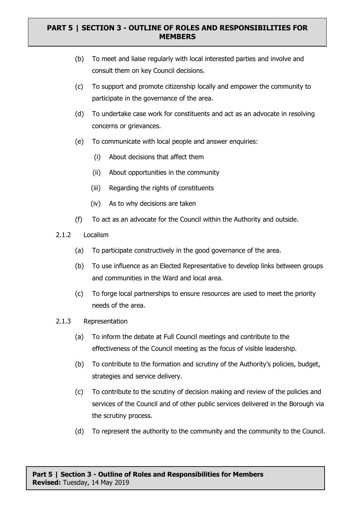- (b) To meet and liaise regularly with local interested parties and involve and consult them on key Council decisions.
- (c) To support and promote citizenship locally and empower the community to participate in the governance of the area.
- (d) To undertake case work for constituents and act as an advocate in resolving concerns or grievances.
- (e) To communicate with local people and answer enquiries:
	- (i) About decisions that affect them
	- (ii) About opportunities in the community
	- (iii) Regarding the rights of constituents
	- (iv) As to why decisions are taken
- (f) To act as an advocate for the Council within the Authority and outside.
- 2.1.2 Localism
	- (a) To participate constructively in the good governance of the area.
	- (b) To use influence as an Elected Representative to develop links between groups and communities in the Ward and local area.
	- (c) To forge local partnerships to ensure resources are used to meet the priority needs of the area.
- 2.1.3 Representation
	- (a) To inform the debate at Full Council meetings and contribute to the effectiveness of the Council meeting as the focus of visible leadership.
	- (b) To contribute to the formation and scrutiny of the Authority's policies, budget, strategies and service delivery.
	- (c) To contribute to the scrutiny of decision making and review of the policies and services of the Council and of other public services delivered in the Borough via the scrutiny process.
	- (d) To represent the authority to the community and the community to the Council.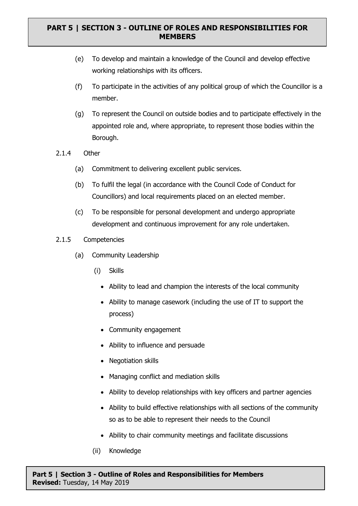- (e) To develop and maintain a knowledge of the Council and develop effective working relationships with its officers.
- (f) To participate in the activities of any political group of which the Councillor is a member.
- (g) To represent the Council on outside bodies and to participate effectively in the appointed role and, where appropriate, to represent those bodies within the Borough.
- 2.1.4 Other
	- (a) Commitment to delivering excellent public services.
	- (b) To fulfil the legal (in accordance with the Council Code of Conduct for Councillors) and local requirements placed on an elected member.
	- (c) To be responsible for personal development and undergo appropriate development and continuous improvement for any role undertaken.
- 2.1.5 Competencies
	- (a) Community Leadership
		- (i) Skills
			- Ability to lead and champion the interests of the local community
			- Ability to manage casework (including the use of IT to support the process)
			- Community engagement
			- Ability to influence and persuade
			- Negotiation skills
			- Managing conflict and mediation skills
			- Ability to develop relationships with key officers and partner agencies
			- Ability to build effective relationships with all sections of the community so as to be able to represent their needs to the Council
			- Ability to chair community meetings and facilitate discussions
		- (ii) Knowledge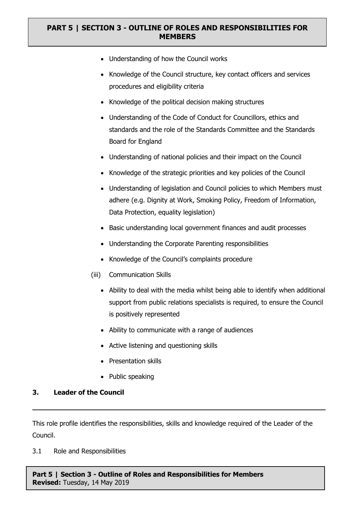- Understanding of how the Council works
- Knowledge of the Council structure, key contact officers and services procedures and eligibility criteria
- Knowledge of the political decision making structures
- Understanding of the Code of Conduct for Councillors, ethics and standards and the role of the Standards Committee and the Standards Board for England
- Understanding of national policies and their impact on the Council
- Knowledge of the strategic priorities and key policies of the Council
- Understanding of legislation and Council policies to which Members must adhere (e.g. Dignity at Work, Smoking Policy, Freedom of Information, Data Protection, equality legislation)
- Basic understanding local government finances and audit processes
- Understanding the Corporate Parenting responsibilities
- Knowledge of the Council's complaints procedure
- (iii) Communication Skills
	- Ability to deal with the media whilst being able to identify when additional support from public relations specialists is required, to ensure the Council is positively represented
	- Ability to communicate with a range of audiences
	- Active listening and questioning skills
	- Presentation skills
	- Public speaking

#### **3. Leader of the Council**

This role profile identifies the responsibilities, skills and knowledge required of the Leader of the Council.

3.1 Role and Responsibilities

**Part 5 | Section 3 - Outline of Roles and Responsibilities for Members Revised:** Tuesday, 14 May 2019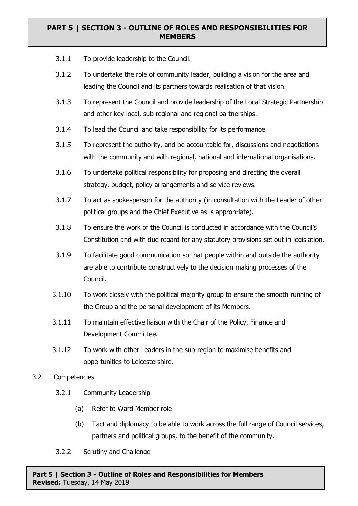- 3.1.1 To provide leadership to the Council.
- 3.1.2 To undertake the role of community leader, building a vision for the area and leading the Council and its partners towards realisation of that vision.
- 3.1.3 To represent the Council and provide leadership of the Local Strategic Partnership and other key local, sub regional and regional partnerships.
- 3.1.4 To lead the Council and take responsibility for its performance.
- 3.1.5 To represent the authority, and be accountable for, discussions and negotiations with the community and with regional, national and international organisations.
- 3.1.6 To undertake political responsibility for proposing and directing the overall strategy, budget, policy arrangements and service reviews.
- 3.1.7 To act as spokesperson for the authority (in consultation with the Leader of other political groups and the Chief Executive as is appropriate).
- 3.1.8 To ensure the work of the Council is conducted in accordance with the Council's Constitution and with due regard for any statutory provisions set out in legislation.
- 3.1.9 To facilitate good communication so that people within and outside the authority are able to contribute constructively to the decision making processes of the Council.
- 3.1.10 To work closely with the political majority group to ensure the smooth running of the Group and the personal development of its Members.
- 3.1.11 To maintain effective liaison with the Chair of the Policy, Finance and Development Committee.
- 3.1.12 To work with other Leaders in the sub-region to maximise benefits and opportunities to Leicestershire.
- 3.2 Competencies
	- 3.2.1 Community Leadership
		- (a) Refer to Ward Member role
		- (b) Tact and diplomacy to be able to work across the full range of Council services, partners and political groups, to the benefit of the community.
	- 3.2.2 Scrutiny and Challenge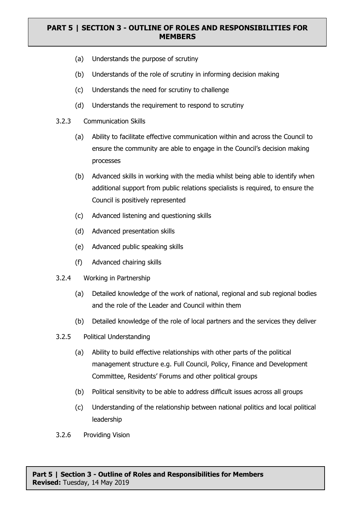- (a) Understands the purpose of scrutiny
- (b) Understands of the role of scrutiny in informing decision making
- (c) Understands the need for scrutiny to challenge
- (d) Understands the requirement to respond to scrutiny
- 3.2.3 Communication Skills
	- (a) Ability to facilitate effective communication within and across the Council to ensure the community are able to engage in the Council's decision making processes
	- (b) Advanced skills in working with the media whilst being able to identify when additional support from public relations specialists is required, to ensure the Council is positively represented
	- (c) Advanced listening and questioning skills
	- (d) Advanced presentation skills
	- (e) Advanced public speaking skills
	- (f) Advanced chairing skills
- 3.2.4 Working in Partnership
	- (a) Detailed knowledge of the work of national, regional and sub regional bodies and the role of the Leader and Council within them
	- (b) Detailed knowledge of the role of local partners and the services they deliver
- 3.2.5 Political Understanding
	- (a) Ability to build effective relationships with other parts of the political management structure e.g. Full Council, Policy, Finance and Development Committee, Residents' Forums and other political groups
	- (b) Political sensitivity to be able to address difficult issues across all groups
	- (c) Understanding of the relationship between national politics and local political leadership
- 3.2.6 Providing Vision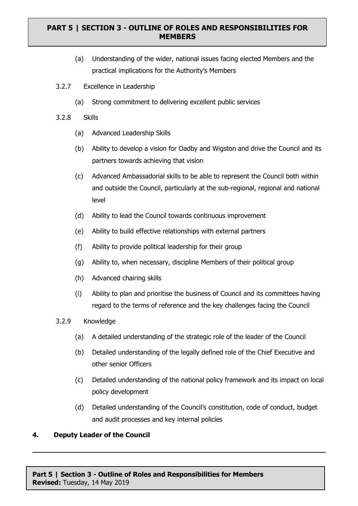- (a) Understanding of the wider, national issues facing elected Members and the practical implications for the Authority's Members
- 3.2.7 Excellence in Leadership
	- (a) Strong commitment to delivering excellent public services
- 3.2.8 Skills
	- (a) Advanced Leadership Skills
	- (b) Ability to develop a vision for Oadby and Wigston and drive the Council and its partners towards achieving that vision
	- (c) Advanced Ambassadorial skills to be able to represent the Council both within and outside the Council, particularly at the sub-regional, regional and national level
	- (d) Ability to lead the Council towards continuous improvement
	- (e) Ability to build effective relationships with external partners
	- (f) Ability to provide political leadership for their group
	- (g) Ability to, when necessary, discipline Members of their political group
	- (h) Advanced chairing skills
	- (i) Ability to plan and prioritise the business of Council and its committees having regard to the terms of reference and the key challenges facing the Council
- 3.2.9 Knowledge
	- (a) A detailed understanding of the strategic role of the leader of the Council
	- (b) Detailed understanding of the legally defined role of the Chief Executive and other senior Officers
	- (c) Detailed understanding of the national policy framework and its impact on local policy development
	- (d) Detailed understanding of the Council's constitution, code of conduct, budget and audit processes and key internal policies

#### **4. Deputy Leader of the Council**

**Part 5 | Section 3 - Outline of Roles and Responsibilities for Members Revised:** Tuesday, 14 May 2019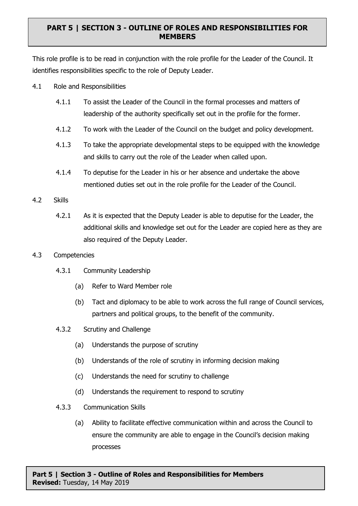This role profile is to be read in conjunction with the role profile for the Leader of the Council. It identifies responsibilities specific to the role of Deputy Leader.

- 4.1 Role and Responsibilities
	- 4.1.1 To assist the Leader of the Council in the formal processes and matters of leadership of the authority specifically set out in the profile for the former.
	- 4.1.2 To work with the Leader of the Council on the budget and policy development.
	- 4.1.3 To take the appropriate developmental steps to be equipped with the knowledge and skills to carry out the role of the Leader when called upon.
	- 4.1.4 To deputise for the Leader in his or her absence and undertake the above mentioned duties set out in the role profile for the Leader of the Council.
- 4.2 Skills
	- 4.2.1 As it is expected that the Deputy Leader is able to deputise for the Leader, the additional skills and knowledge set out for the Leader are copied here as they are also required of the Deputy Leader.
- 4.3 Competencies
	- 4.3.1 Community Leadership
		- (a) Refer to Ward Member role
		- (b) Tact and diplomacy to be able to work across the full range of Council services, partners and political groups, to the benefit of the community.
	- 4.3.2 Scrutiny and Challenge
		- (a) Understands the purpose of scrutiny
		- (b) Understands of the role of scrutiny in informing decision making
		- (c) Understands the need for scrutiny to challenge
		- (d) Understands the requirement to respond to scrutiny
	- 4.3.3 Communication Skills
		- (a) Ability to facilitate effective communication within and across the Council to ensure the community are able to engage in the Council's decision making processes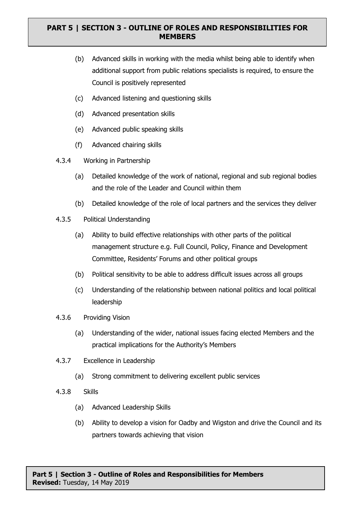- (b) Advanced skills in working with the media whilst being able to identify when additional support from public relations specialists is required, to ensure the Council is positively represented
- (c) Advanced listening and questioning skills
- (d) Advanced presentation skills
- (e) Advanced public speaking skills
- (f) Advanced chairing skills
- 4.3.4 Working in Partnership
	- (a) Detailed knowledge of the work of national, regional and sub regional bodies and the role of the Leader and Council within them
	- (b) Detailed knowledge of the role of local partners and the services they deliver
- 4.3.5 Political Understanding
	- (a) Ability to build effective relationships with other parts of the political management structure e.g. Full Council, Policy, Finance and Development Committee, Residents' Forums and other political groups
	- (b) Political sensitivity to be able to address difficult issues across all groups
	- (c) Understanding of the relationship between national politics and local political leadership
- 4.3.6 Providing Vision
	- (a) Understanding of the wider, national issues facing elected Members and the practical implications for the Authority's Members
- 4.3.7 Excellence in Leadership
	- (a) Strong commitment to delivering excellent public services
- 4.3.8 Skills
	- (a) Advanced Leadership Skills
	- (b) Ability to develop a vision for Oadby and Wigston and drive the Council and its partners towards achieving that vision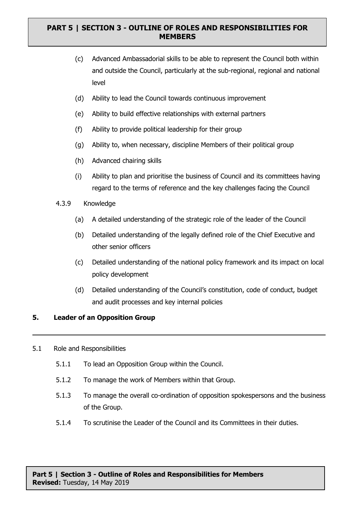- (c) Advanced Ambassadorial skills to be able to represent the Council both within and outside the Council, particularly at the sub-regional, regional and national level
- (d) Ability to lead the Council towards continuous improvement
- (e) Ability to build effective relationships with external partners
- (f) Ability to provide political leadership for their group
- (g) Ability to, when necessary, discipline Members of their political group
- (h) Advanced chairing skills
- (i) Ability to plan and prioritise the business of Council and its committees having regard to the terms of reference and the key challenges facing the Council
- 4.3.9 Knowledge
	- (a) A detailed understanding of the strategic role of the leader of the Council
	- (b) Detailed understanding of the legally defined role of the Chief Executive and other senior officers
	- (c) Detailed understanding of the national policy framework and its impact on local policy development
	- (d) Detailed understanding of the Council's constitution, code of conduct, budget and audit processes and key internal policies

### **5. Leader of an Opposition Group**

#### 5.1 Role and Responsibilities

- 5.1.1 To lead an Opposition Group within the Council.
- 5.1.2 To manage the work of Members within that Group.
- 5.1.3 To manage the overall co-ordination of opposition spokespersons and the business of the Group.
- 5.1.4 To scrutinise the Leader of the Council and its Committees in their duties.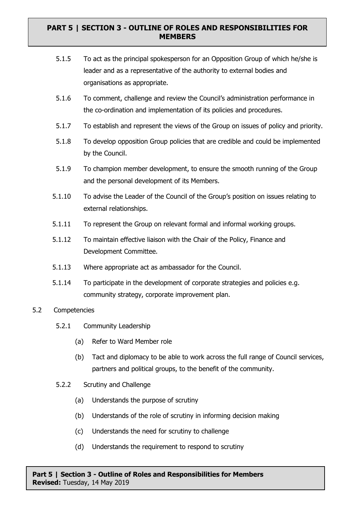- 5.1.5 To act as the principal spokesperson for an Opposition Group of which he/she is leader and as a representative of the authority to external bodies and organisations as appropriate.
- 5.1.6 To comment, challenge and review the Council's administration performance in the co-ordination and implementation of its policies and procedures.
- 5.1.7 To establish and represent the views of the Group on issues of policy and priority.
- 5.1.8 To develop opposition Group policies that are credible and could be implemented by the Council.
- 5.1.9 To champion member development, to ensure the smooth running of the Group and the personal development of its Members.
- 5.1.10 To advise the Leader of the Council of the Group's position on issues relating to external relationships.
- 5.1.11 To represent the Group on relevant formal and informal working groups.
- 5.1.12 To maintain effective liaison with the Chair of the Policy, Finance and Development Committee.
- 5.1.13 Where appropriate act as ambassador for the Council.
- 5.1.14 To participate in the development of corporate strategies and policies e.g. community strategy, corporate improvement plan.
- 5.2 Competencies
	- 5.2.1 Community Leadership
		- (a) Refer to Ward Member role
		- (b) Tact and diplomacy to be able to work across the full range of Council services, partners and political groups, to the benefit of the community.
	- 5.2.2 Scrutiny and Challenge
		- (a) Understands the purpose of scrutiny
		- (b) Understands of the role of scrutiny in informing decision making
		- (c) Understands the need for scrutiny to challenge
		- (d) Understands the requirement to respond to scrutiny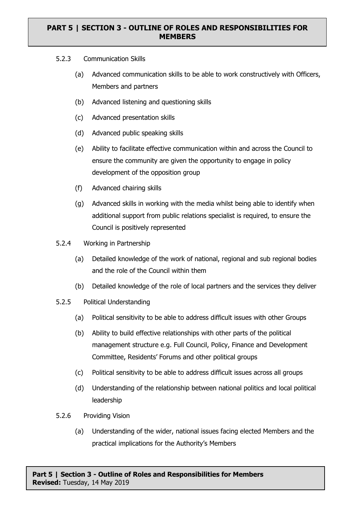- 5.2.3 Communication Skills
	- (a) Advanced communication skills to be able to work constructively with Officers, Members and partners
	- (b) Advanced listening and questioning skills
	- (c) Advanced presentation skills
	- (d) Advanced public speaking skills
	- (e) Ability to facilitate effective communication within and across the Council to ensure the community are given the opportunity to engage in policy development of the opposition group
	- (f) Advanced chairing skills
	- (g) Advanced skills in working with the media whilst being able to identify when additional support from public relations specialist is required, to ensure the Council is positively represented
- 5.2.4 Working in Partnership
	- (a) Detailed knowledge of the work of national, regional and sub regional bodies and the role of the Council within them
	- (b) Detailed knowledge of the role of local partners and the services they deliver
- 5.2.5 Political Understanding
	- (a) Political sensitivity to be able to address difficult issues with other Groups
	- (b) Ability to build effective relationships with other parts of the political management structure e.g. Full Council, Policy, Finance and Development Committee, Residents' Forums and other political groups
	- (c) Political sensitivity to be able to address difficult issues across all groups
	- (d) Understanding of the relationship between national politics and local political leadership
- 5.2.6 Providing Vision
	- (a) Understanding of the wider, national issues facing elected Members and the practical implications for the Authority's Members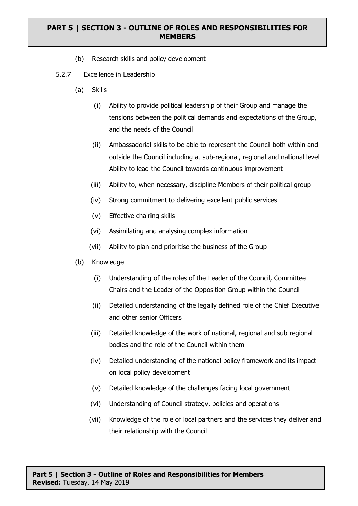- (b) Research skills and policy development
- 5.2.7 Excellence in Leadership
	- (a) Skills
		- (i) Ability to provide political leadership of their Group and manage the tensions between the political demands and expectations of the Group, and the needs of the Council
		- (ii) Ambassadorial skills to be able to represent the Council both within and outside the Council including at sub-regional, regional and national level Ability to lead the Council towards continuous improvement
		- (iii) Ability to, when necessary, discipline Members of their political group
		- (iv) Strong commitment to delivering excellent public services
		- (v) Effective chairing skills
		- (vi) Assimilating and analysing complex information
		- (vii) Ability to plan and prioritise the business of the Group
	- (b) Knowledge
		- (i) Understanding of the roles of the Leader of the Council, Committee Chairs and the Leader of the Opposition Group within the Council
		- (ii) Detailed understanding of the legally defined role of the Chief Executive and other senior Officers
		- (iii) Detailed knowledge of the work of national, regional and sub regional bodies and the role of the Council within them
		- (iv) Detailed understanding of the national policy framework and its impact on local policy development
		- (v) Detailed knowledge of the challenges facing local government
		- (vi) Understanding of Council strategy, policies and operations
		- (vii) Knowledge of the role of local partners and the services they deliver and their relationship with the Council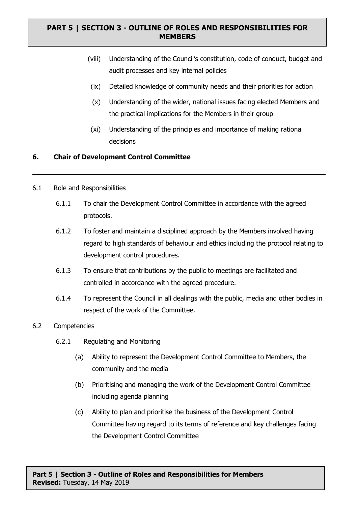- (viii) Understanding of the Council's constitution, code of conduct, budget and audit processes and key internal policies
- (ix) Detailed knowledge of community needs and their priorities for action
- (x) Understanding of the wider, national issues facing elected Members and the practical implications for the Members in their group
- (xi) Understanding of the principles and importance of making rational decisions

#### **6. Chair of Development Control Committee**

- 6.1 Role and Responsibilities
	- 6.1.1 To chair the Development Control Committee in accordance with the agreed protocols.
	- 6.1.2 To foster and maintain a disciplined approach by the Members involved having regard to high standards of behaviour and ethics including the protocol relating to development control procedures.
	- 6.1.3 To ensure that contributions by the public to meetings are facilitated and controlled in accordance with the agreed procedure.
	- 6.1.4 To represent the Council in all dealings with the public, media and other bodies in respect of the work of the Committee.

#### 6.2 Competencies

- 6.2.1 Regulating and Monitoring
	- (a) Ability to represent the Development Control Committee to Members, the community and the media
	- (b) Prioritising and managing the work of the Development Control Committee including agenda planning
	- (c) Ability to plan and prioritise the business of the Development Control Committee having regard to its terms of reference and key challenges facing the Development Control Committee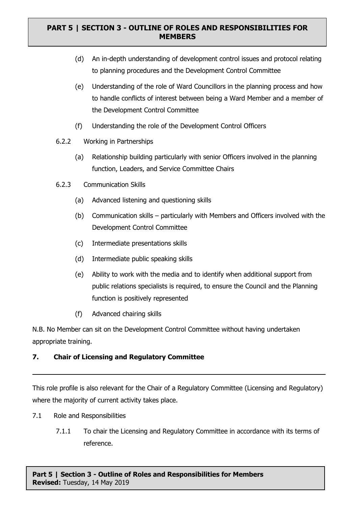- (d) An in-depth understanding of development control issues and protocol relating to planning procedures and the Development Control Committee
- (e) Understanding of the role of Ward Councillors in the planning process and how to handle conflicts of interest between being a Ward Member and a member of the Development Control Committee
- (f) Understanding the role of the Development Control Officers
- 6.2.2 Working in Partnerships
	- (a) Relationship building particularly with senior Officers involved in the planning function, Leaders, and Service Committee Chairs
- 6.2.3 Communication Skills
	- (a) Advanced listening and questioning skills
	- (b) Communication skills particularly with Members and Officers involved with the Development Control Committee
	- (c) Intermediate presentations skills
	- (d) Intermediate public speaking skills
	- (e) Ability to work with the media and to identify when additional support from public relations specialists is required, to ensure the Council and the Planning function is positively represented
	- (f) Advanced chairing skills

N.B. No Member can sit on the Development Control Committee without having undertaken appropriate training.

# **7. Chair of Licensing and Regulatory Committee**

This role profile is also relevant for the Chair of a Regulatory Committee (Licensing and Regulatory) where the majority of current activity takes place.

- 7.1 Role and Responsibilities
	- 7.1.1 To chair the Licensing and Regulatory Committee in accordance with its terms of reference.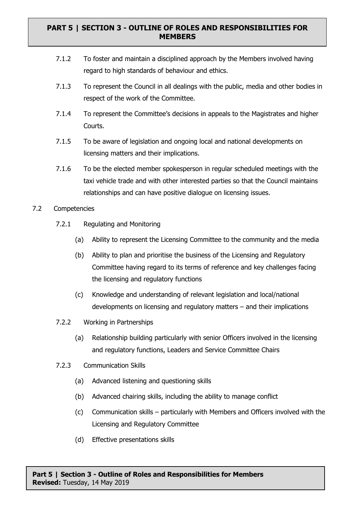- 7.1.2 To foster and maintain a disciplined approach by the Members involved having regard to high standards of behaviour and ethics.
- 7.1.3 To represent the Council in all dealings with the public, media and other bodies in respect of the work of the Committee.
- 7.1.4 To represent the Committee's decisions in appeals to the Magistrates and higher Courts.
- 7.1.5 To be aware of legislation and ongoing local and national developments on licensing matters and their implications.
- 7.1.6 To be the elected member spokesperson in regular scheduled meetings with the taxi vehicle trade and with other interested parties so that the Council maintains relationships and can have positive dialogue on licensing issues.

#### 7.2 Competencies

- 7.2.1 Regulating and Monitoring
	- (a) Ability to represent the Licensing Committee to the community and the media
	- (b) Ability to plan and prioritise the business of the Licensing and Regulatory Committee having regard to its terms of reference and key challenges facing the licensing and regulatory functions
	- (c) Knowledge and understanding of relevant legislation and local/national developments on licensing and regulatory matters – and their implications
- 7.2.2 Working in Partnerships
	- (a) Relationship building particularly with senior Officers involved in the licensing and regulatory functions, Leaders and Service Committee Chairs
- 7.2.3 Communication Skills
	- (a) Advanced listening and questioning skills
	- (b) Advanced chairing skills, including the ability to manage conflict
	- (c) Communication skills particularly with Members and Officers involved with the Licensing and Regulatory Committee
	- (d) Effective presentations skills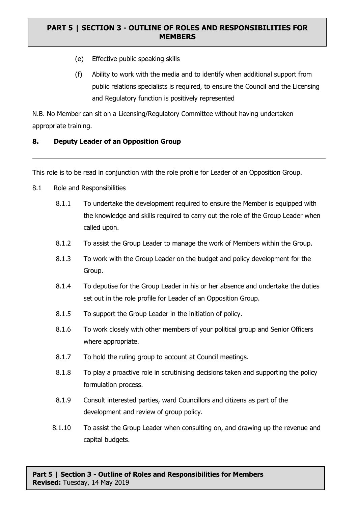- (e) Effective public speaking skills
- (f) Ability to work with the media and to identify when additional support from public relations specialists is required, to ensure the Council and the Licensing and Regulatory function is positively represented

N.B. No Member can sit on a Licensing/Regulatory Committee without having undertaken appropriate training.

#### **8. Deputy Leader of an Opposition Group**

This role is to be read in conjunction with the role profile for Leader of an Opposition Group.

- 8.1 Role and Responsibilities
	- 8.1.1 To undertake the development required to ensure the Member is equipped with the knowledge and skills required to carry out the role of the Group Leader when called upon.
	- 8.1.2 To assist the Group Leader to manage the work of Members within the Group.
	- 8.1.3 To work with the Group Leader on the budget and policy development for the Group.
	- 8.1.4 To deputise for the Group Leader in his or her absence and undertake the duties set out in the role profile for Leader of an Opposition Group.
	- 8.1.5 To support the Group Leader in the initiation of policy.
	- 8.1.6 To work closely with other members of your political group and Senior Officers where appropriate.
	- 8.1.7 To hold the ruling group to account at Council meetings.
	- 8.1.8 To play a proactive role in scrutinising decisions taken and supporting the policy formulation process.
	- 8.1.9 Consult interested parties, ward Councillors and citizens as part of the development and review of group policy.
	- 8.1.10 To assist the Group Leader when consulting on, and drawing up the revenue and capital budgets.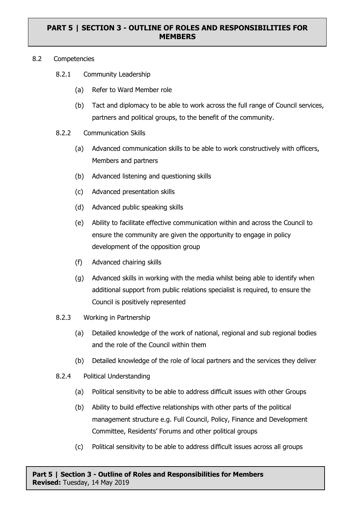#### 8.2 Competencies

- 8.2.1 Community Leadership
	- (a) Refer to Ward Member role
	- (b) Tact and diplomacy to be able to work across the full range of Council services, partners and political groups, to the benefit of the community.

#### 8.2.2 Communication Skills

- (a) Advanced communication skills to be able to work constructively with officers, Members and partners
- (b) Advanced listening and questioning skills
- (c) Advanced presentation skills
- (d) Advanced public speaking skills
- (e) Ability to facilitate effective communication within and across the Council to ensure the community are given the opportunity to engage in policy development of the opposition group
- (f) Advanced chairing skills
- (g) Advanced skills in working with the media whilst being able to identify when additional support from public relations specialist is required, to ensure the Council is positively represented
- 8.2.3 Working in Partnership
	- (a) Detailed knowledge of the work of national, regional and sub regional bodies and the role of the Council within them
	- (b) Detailed knowledge of the role of local partners and the services they deliver
- 8.2.4 Political Understanding
	- (a) Political sensitivity to be able to address difficult issues with other Groups
	- (b) Ability to build effective relationships with other parts of the political management structure e.g. Full Council, Policy, Finance and Development Committee, Residents' Forums and other political groups
	- (c) Political sensitivity to be able to address difficult issues across all groups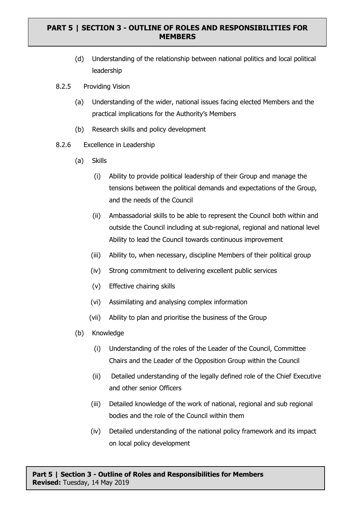- (d) Understanding of the relationship between national politics and local political leadership
- 8.2.5 Providing Vision
	- (a) Understanding of the wider, national issues facing elected Members and the practical implications for the Authority's Members
	- (b) Research skills and policy development
- 8.2.6 Excellence in Leadership
	- (a) Skills
		- (i) Ability to provide political leadership of their Group and manage the tensions between the political demands and expectations of the Group, and the needs of the Council
		- (ii) Ambassadorial skills to be able to represent the Council both within and outside the Council including at sub-regional, regional and national level Ability to lead the Council towards continuous improvement
		- (iii) Ability to, when necessary, discipline Members of their political group
		- (iv) Strong commitment to delivering excellent public services
		- (v) Effective chairing skills
		- (vi) Assimilating and analysing complex information
		- (vii) Ability to plan and prioritise the business of the Group
	- (b) Knowledge
		- (i) Understanding of the roles of the Leader of the Council, Committee Chairs and the Leader of the Opposition Group within the Council
		- (ii) Detailed understanding of the legally defined role of the Chief Executive and other senior Officers
		- (iii) Detailed knowledge of the work of national, regional and sub regional bodies and the role of the Council within them
		- (iv) Detailed understanding of the national policy framework and its impact on local policy development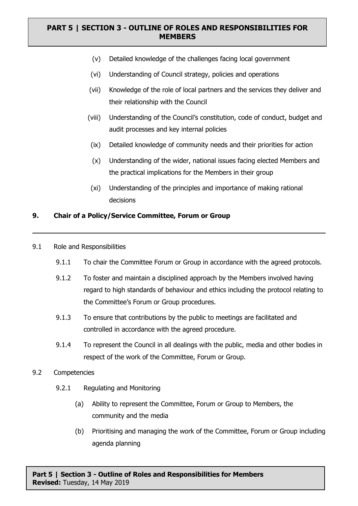- (v) Detailed knowledge of the challenges facing local government
- (vi) Understanding of Council strategy, policies and operations
- (vii) Knowledge of the role of local partners and the services they deliver and their relationship with the Council
- (viii) Understanding of the Council's constitution, code of conduct, budget and audit processes and key internal policies
- (ix) Detailed knowledge of community needs and their priorities for action
- (x) Understanding of the wider, national issues facing elected Members and the practical implications for the Members in their group
- (xi) Understanding of the principles and importance of making rational decisions

#### **9. Chair of a Policy/Service Committee, Forum or Group**

- 9.1 Role and Responsibilities
	- 9.1.1 To chair the Committee Forum or Group in accordance with the agreed protocols.
	- 9.1.2 To foster and maintain a disciplined approach by the Members involved having regard to high standards of behaviour and ethics including the protocol relating to the Committee's Forum or Group procedures.
	- 9.1.3 To ensure that contributions by the public to meetings are facilitated and controlled in accordance with the agreed procedure.
	- 9.1.4 To represent the Council in all dealings with the public, media and other bodies in respect of the work of the Committee, Forum or Group.
- 9.2 Competencies
	- 9.2.1 Regulating and Monitoring
		- (a) Ability to represent the Committee, Forum or Group to Members, the community and the media
		- (b) Prioritising and managing the work of the Committee, Forum or Group including agenda planning